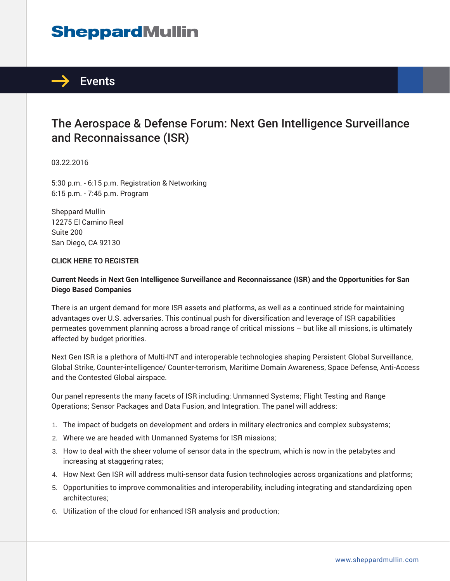# **SheppardMullin**



## The Aerospace & Defense Forum: Next Gen Intelligence Surveillance and Reconnaissance (ISR)

03.22.2016

5:30 p.m. - 6:15 p.m. Registration & Networking 6:15 p.m. - 7:45 p.m. Program

Sheppard Mullin 12275 El Camino Real Suite 200 San Diego, CA 92130

#### **CLICK HERE TO REGISTER**

#### **Current Needs in Next Gen Intelligence Surveillance and Reconnaissance (ISR) and the Opportunities for San Diego Based Companies**

There is an urgent demand for more ISR assets and platforms, as well as a continued stride for maintaining advantages over U.S. adversaries. This continual push for diversification and leverage of ISR capabilities permeates government planning across a broad range of critical missions – but like all missions, is ultimately affected by budget priorities.

Next Gen ISR is a plethora of Multi-INT and interoperable technologies shaping Persistent Global Surveillance, Global Strike, Counter-intelligence/ Counter-terrorism, Maritime Domain Awareness, Space Defense, Anti-Access and the Contested Global airspace.

Our panel represents the many facets of ISR including: Unmanned Systems; Flight Testing and Range Operations; Sensor Packages and Data Fusion, and Integration. The panel will address:

- 1. The impact of budgets on development and orders in military electronics and complex subsystems;
- 2. Where we are headed with Unmanned Systems for ISR missions;
- 3. How to deal with the sheer volume of sensor data in the spectrum, which is now in the petabytes and increasing at staggering rates;
- 4. How Next Gen ISR will address multi-sensor data fusion technologies across organizations and platforms;
- 5. Opportunities to improve commonalities and interoperability, including integrating and standardizing open architectures;
- 6. Utilization of the cloud for enhanced ISR analysis and production;